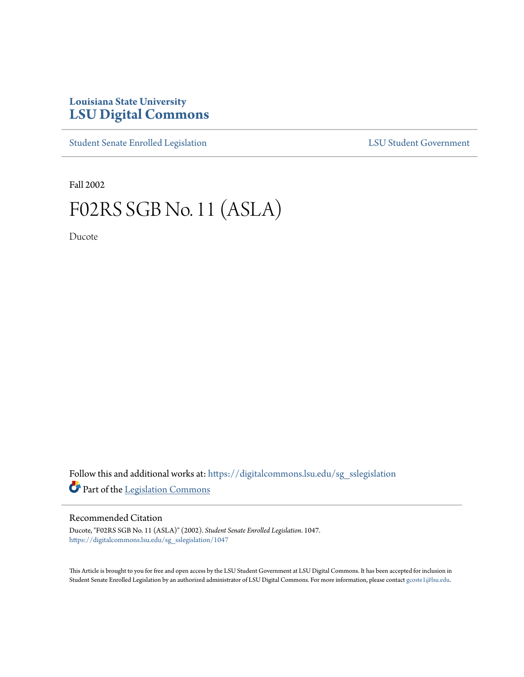## **Louisiana State University [LSU Digital Commons](https://digitalcommons.lsu.edu?utm_source=digitalcommons.lsu.edu%2Fsg_sslegislation%2F1047&utm_medium=PDF&utm_campaign=PDFCoverPages)**

[Student Senate Enrolled Legislation](https://digitalcommons.lsu.edu/sg_sslegislation?utm_source=digitalcommons.lsu.edu%2Fsg_sslegislation%2F1047&utm_medium=PDF&utm_campaign=PDFCoverPages) [LSU Student Government](https://digitalcommons.lsu.edu/sg?utm_source=digitalcommons.lsu.edu%2Fsg_sslegislation%2F1047&utm_medium=PDF&utm_campaign=PDFCoverPages)

Fall 2002

# F02RS SGB No. 11 (ASLA)

Ducote

Follow this and additional works at: [https://digitalcommons.lsu.edu/sg\\_sslegislation](https://digitalcommons.lsu.edu/sg_sslegislation?utm_source=digitalcommons.lsu.edu%2Fsg_sslegislation%2F1047&utm_medium=PDF&utm_campaign=PDFCoverPages) Part of the [Legislation Commons](http://network.bepress.com/hgg/discipline/859?utm_source=digitalcommons.lsu.edu%2Fsg_sslegislation%2F1047&utm_medium=PDF&utm_campaign=PDFCoverPages)

#### Recommended Citation

Ducote, "F02RS SGB No. 11 (ASLA)" (2002). *Student Senate Enrolled Legislation*. 1047. [https://digitalcommons.lsu.edu/sg\\_sslegislation/1047](https://digitalcommons.lsu.edu/sg_sslegislation/1047?utm_source=digitalcommons.lsu.edu%2Fsg_sslegislation%2F1047&utm_medium=PDF&utm_campaign=PDFCoverPages)

This Article is brought to you for free and open access by the LSU Student Government at LSU Digital Commons. It has been accepted for inclusion in Student Senate Enrolled Legislation by an authorized administrator of LSU Digital Commons. For more information, please contact [gcoste1@lsu.edu.](mailto:gcoste1@lsu.edu)